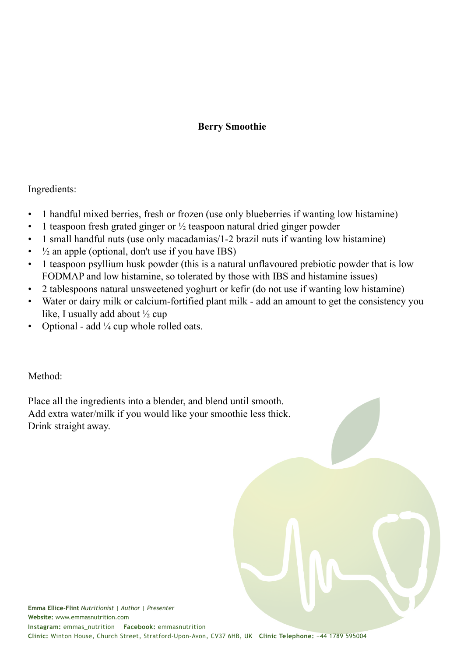## **Berry Smoothie**

Ingredients:

- 1 handful mixed berries, fresh or frozen (use only blueberries if wanting low histamine)
- 1 teaspoon fresh grated ginger or  $\frac{1}{2}$  teaspoon natural dried ginger powder
- 1 small handful nuts (use only macadamias/1-2 brazil nuts if wanting low histamine)
- $\frac{1}{2}$  an apple (optional, don't use if you have IBS)
- 1 teaspoon psyllium husk powder (this is a natural unflavoured prebiotic powder that is low FODMAP and low histamine, so tolerated by those with IBS and histamine issues)
- 2 tablespoons natural unsweetened yoghurt or kefir (do not use if wanting low histamine)
- Water or dairy milk or calcium-fortified plant milk add an amount to get the consistency you like, I usually add about ½ cup
- Optional add  $\frac{1}{4}$  cup whole rolled oats.

Method:

Place all the ingredients into a blender, and blend until smooth. Add extra water/milk if you would like your smoothie less thick. Drink straight away.

**Emma Ellice-Flint** *Nutritionist | Author | Presenter* **Website:** www.emmasnutrition.com **Instagram:** emmas\_nutrition **Facebook:** emmasnutrition **Clinic:** Winton House, Church Street, Stratford-Upon-Avon, CV37 6HB, UK **Clinic Telephone:** +44 1789 595004